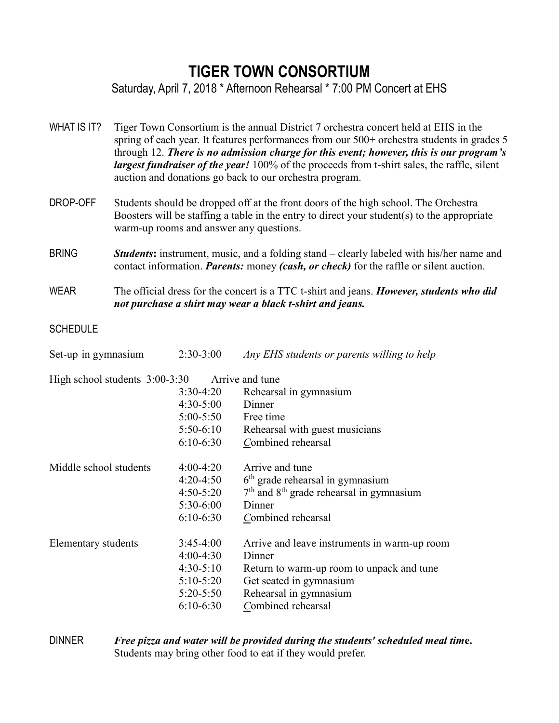## **TIGER TOWN CONSORTIUM**

Saturday, April 7, 2018 \* Afternoon Rehearsal \* 7:00 PM Concert at EHS

| WHAT IS IT?                    | Tiger Town Consortium is the annual District 7 orchestra concert held at EHS in the<br>spring of each year. It features performances from our 500+ orchestra students in grades 5<br>through 12. There is no admission charge for this event; however, this is our program's<br>largest fundraiser of the year! 100% of the proceeds from t-shirt sales, the raffle, silent<br>auction and donations go back to our orchestra program. |                                                                                          |                                                                                                                                                                                |
|--------------------------------|----------------------------------------------------------------------------------------------------------------------------------------------------------------------------------------------------------------------------------------------------------------------------------------------------------------------------------------------------------------------------------------------------------------------------------------|------------------------------------------------------------------------------------------|--------------------------------------------------------------------------------------------------------------------------------------------------------------------------------|
| DROP-OFF                       | Students should be dropped off at the front doors of the high school. The Orchestra<br>Boosters will be staffing a table in the entry to direct your student(s) to the appropriate<br>warm-up rooms and answer any questions.                                                                                                                                                                                                          |                                                                                          |                                                                                                                                                                                |
| <b>BRING</b>                   | <b>Students:</b> instrument, music, and a folding stand – clearly labeled with his/her name and<br>contact information. <i>Parents:</i> money (cash, or check) for the raffle or silent auction.                                                                                                                                                                                                                                       |                                                                                          |                                                                                                                                                                                |
| <b>WEAR</b>                    | The official dress for the concert is a TTC t-shirt and jeans. However, students who did<br>not purchase a shirt may wear a black t-shirt and jeans.                                                                                                                                                                                                                                                                                   |                                                                                          |                                                                                                                                                                                |
| <b>SCHEDULE</b>                |                                                                                                                                                                                                                                                                                                                                                                                                                                        |                                                                                          |                                                                                                                                                                                |
| Set-up in gymnasium            |                                                                                                                                                                                                                                                                                                                                                                                                                                        | $2:30-3:00$                                                                              | Any EHS students or parents willing to help                                                                                                                                    |
| High school students 3:00-3:30 |                                                                                                                                                                                                                                                                                                                                                                                                                                        | $3:30-4:20$<br>$4:30-5:00$<br>$5:00 - 5:50$<br>$5:50-6:10$<br>$6:10-6:30$                | Arrive and tune<br>Rehearsal in gymnasium<br>Dinner<br>Free time<br>Rehearsal with guest musicians<br>Combined rehearsal                                                       |
| Middle school students         |                                                                                                                                                                                                                                                                                                                                                                                                                                        | $4:00-4:20$<br>$4:20-4:50$<br>$4:50 - 5:20$<br>$5:30-6:00$<br>$6:10-6:30$                | Arrive and tune<br>$6th$ grade rehearsal in gymnasium<br>$7th$ and $8th$ grade rehearsal in gymnasium<br>Dinner<br>Combined rehearsal                                          |
| <b>Elementary students</b>     |                                                                                                                                                                                                                                                                                                                                                                                                                                        | $3:45-4:00$<br>$4:00-4:30$<br>$4:30-5:10$<br>$5:10-5:20$<br>$5:20 - 5:50$<br>$6:10-6:30$ | Arrive and leave instruments in warm-up room<br>Dinner<br>Return to warm-up room to unpack and tune<br>Get seated in gymnasium<br>Rehearsal in gymnasium<br>Combined rehearsal |

DINNER *Free pizza and water will be provided during the students' scheduled meal tim***e.** Students may bring other food to eat if they would prefer.